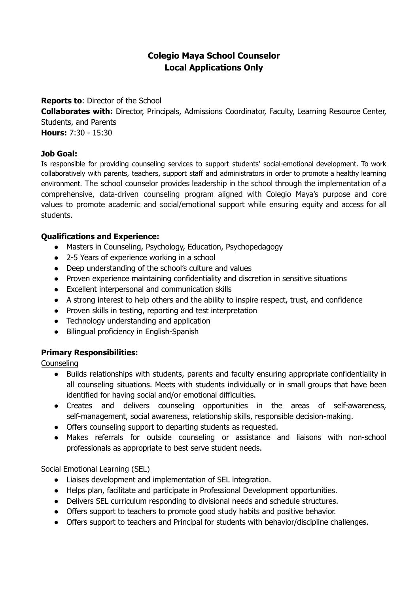# **Colegio Maya School Counselor Local Applications Only**

### **Reports to**: Director of the School

**Collaborates with:** Director, Principals, Admissions Coordinator, Faculty, Learning Resource Center, Students, and Parents

**Hours:** 7:30 - 15:30

## **Job Goal:**

Is responsible for providing counseling services to support students' social-emotional development. To work collaboratively with parents, teachers, support staff and administrators in order to promote a healthy learning environment. The school counselor provides leadership in the school through the implementation of a comprehensive, data-driven counseling program aligned with Colegio Maya's purpose and core values to promote academic and social/emotional support while ensuring equity and access for all students.

## **Qualifications and Experience:**

- Masters in Counseling, Psychology, Education, Psychopedagogy
- 2-5 Years of experience working in a school
- Deep understanding of the school's culture and values
- Proven experience maintaining confidentiality and discretion in sensitive situations
- Excellent interpersonal and communication skills
- A strong interest to help others and the ability to inspire respect, trust, and confidence
- Proven skills in testing, reporting and test interpretation
- Technology understanding and application
- Bilingual proficiency in English-Spanish

## **Primary Responsibilities:**

**Counseling** 

- Builds relationships with students, parents and faculty ensuring appropriate confidentiality in all counseling situations. Meets with students individually or in small groups that have been identified for having social and/or emotional difficulties.
- Creates and delivers counseling opportunities in the areas of self-awareness, self-management, social awareness, relationship skills, responsible decision-making.
- Offers counseling support to departing students as requested.
- Makes referrals for outside counseling or assistance and liaisons with non-school professionals as appropriate to best serve student needs.

## Social Emotional Learning (SEL)

- Liaises development and implementation of SEL integration.
- Helps plan, facilitate and participate in Professional Development opportunities.
- Delivers SEL curriculum responding to divisional needs and schedule structures.
- Offers support to teachers to promote good study habits and positive behavior.
- Offers support to teachers and Principal for students with behavior/discipline challenges.